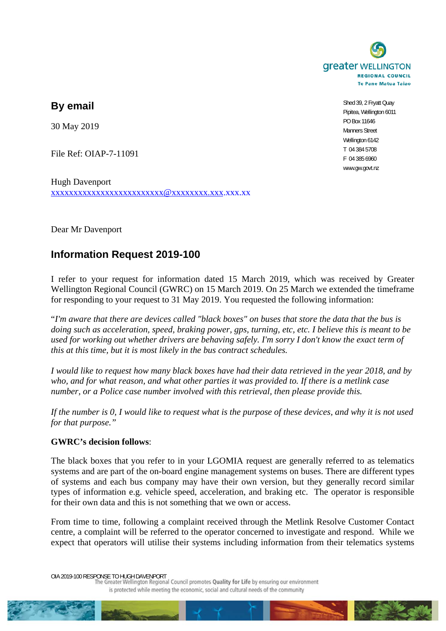

**By email** 

30 May 2019

File Ref: OIAP-7-11091

Hugh Davenport xxxxxxxxxxxxxxxxxxxxxxxxx@xxxxxxxx.xxx.xxx.xx

Dear Mr Davenport

## **Information Request 2019-100**

I refer to your request for information dated 15 March 2019, which was received by Greater Wellington Regional Council (GWRC) on 15 March 2019. On 25 March we extended the timeframe for responding to your request to 31 May 2019. You requested the following information:

"*I'm aware that there are devices called "black boxes" on buses that store the data that the bus is doing such as acceleration, speed, braking power, gps, turning, etc, etc. I believe this is meant to be used for working out whether drivers are behaving safely. I'm sorry I don't know the exact term of this at this time, but it is most likely in the bus contract schedules.* 

*I would like to request how many black boxes have had their data retrieved in the year 2018, and by who, and for what reason, and what other parties it was provided to. If there is a metlink case number, or a Police case number involved with this retrieval, then please provide this.* 

*If the number is 0, I would like to request what is the purpose of these devices, and why it is not used for that purpose."*

## **GWRC's decision follows**:

The black boxes that you refer to in your LGOMIA request are generally referred to as telematics systems and are part of the on-board engine management systems on buses. There are different types of systems and each bus company may have their own version, but they generally record similar types of information e.g. vehicle speed, acceleration, and braking etc. The operator is responsible for their own data and this is not something that we own or access.

From time to time, following a complaint received through the Metlink Resolve Customer Contact centre, a complaint will be referred to the operator concerned to investigate and respond. While we expect that operators will utilise their systems including information from their telematics systems

OIA 2019-100 RESPONSE TO HUGH DAVENPORT<br>The Greater Wellington Regional Council promotes Quality for Life by ensuring our environment is protected while meeting the economic, social and cultural needs of the community



Shed 39, 2 Fryatt Quay Pipitea, Wellington 6011 PO Box 11646 Manners Street Wellington 6142 T 04 384 5708 F 04 385 6960 www.gw.govt.nz